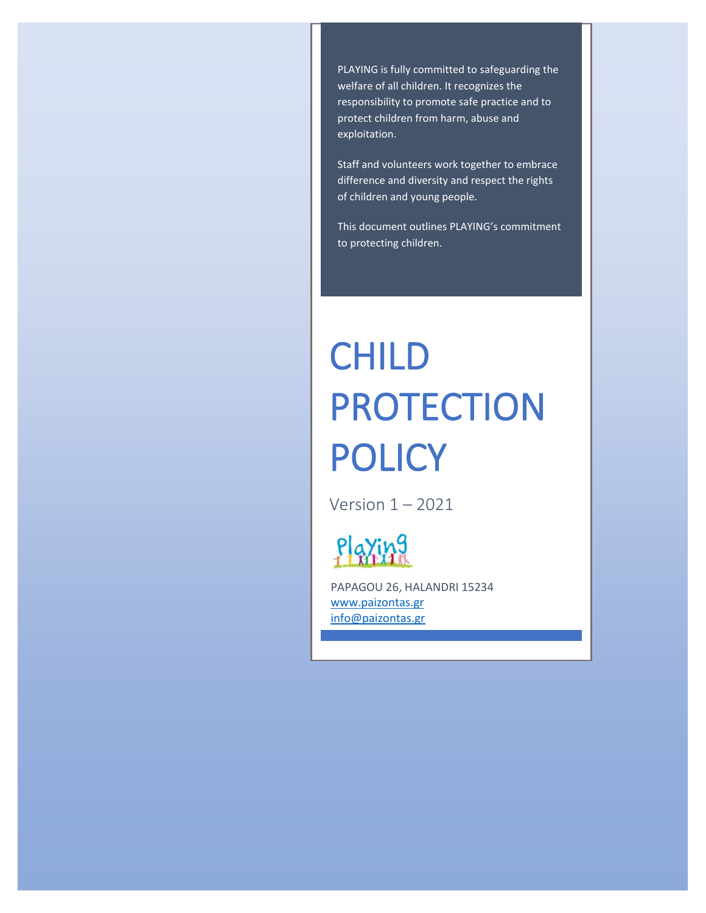PLAYING is fully committed to safeguarding the welfare of all children. It recognizes the responsibility to promote safe practice and to protect children from harm, abuse and exploitation.

Staff and volunteers work together to embrace difference and diversity and respect the rights of children and young people.

This document outlines PLAYING's commitment to protecting children.

# CHILD PROTECTION POLICY

Version 1 – 2021



PAPAGOU 26, HALANDRI 15234 [www.paizontas.gr](http://www.paizontas.gr/) [info@paizontas.gr](mailto:info@paizontas.gr)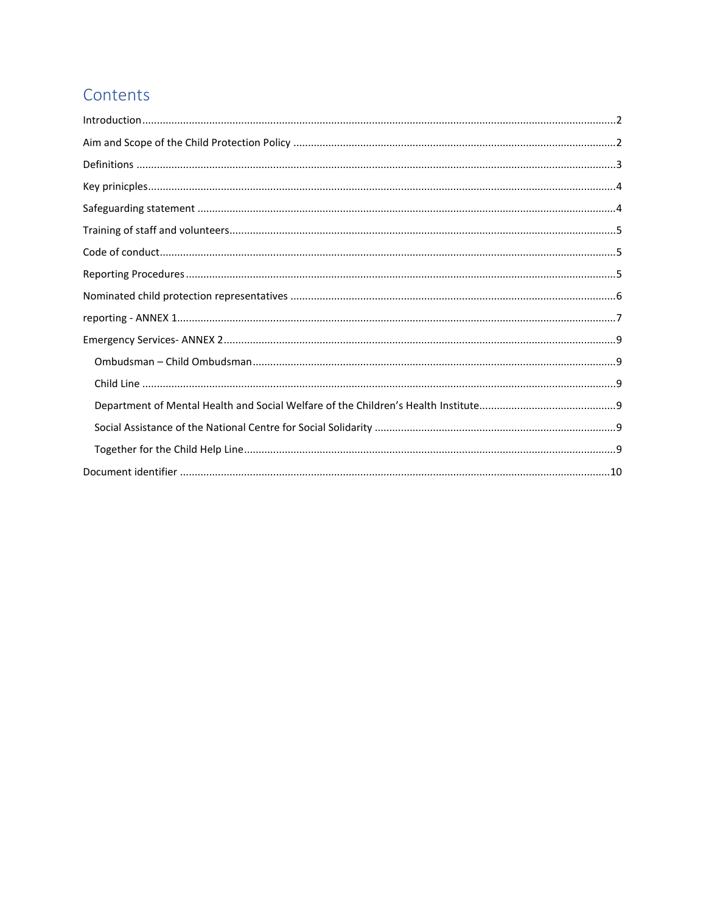# Contents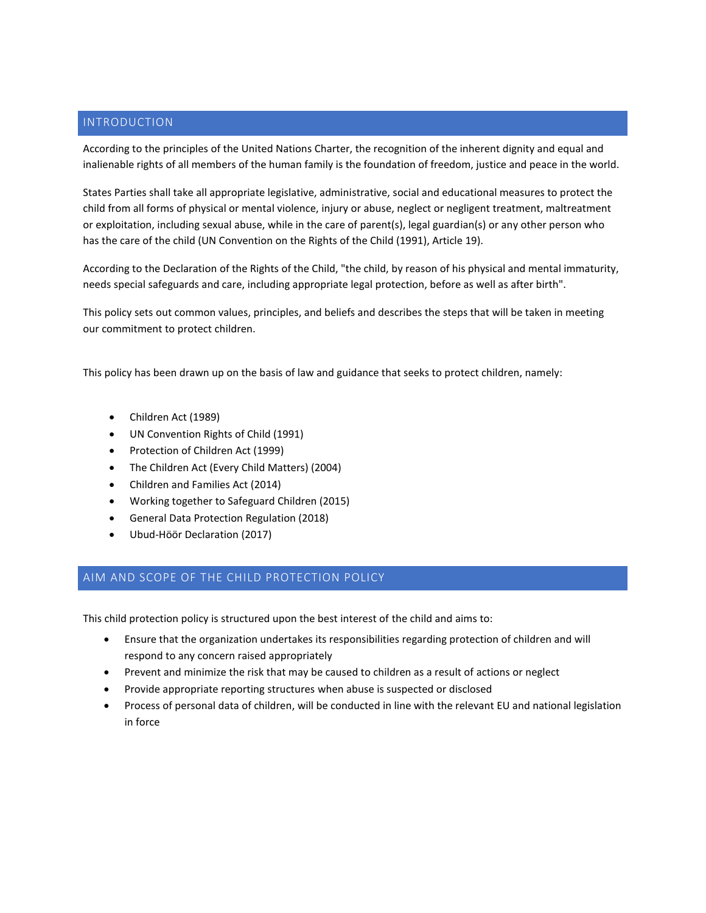# <span id="page-2-0"></span>INTRODUCTION

According to the principles of the United Nations Charter, the recognition of the inherent dignity and equal and inalienable rights of all members of the human family is the foundation of freedom, justice and peace in the world.

States Parties shall take all appropriate legislative, administrative, social and educational measures to protect the child from all forms of physical or mental violence, injury or abuse, neglect or negligent treatment, maltreatment or exploitation, including sexual abuse, while in the care of parent(s), legal guardian(s) or any other person who has the care of the child (UN Convention on the Rights of the Child (1991), Article 19).

According to the Declaration of the Rights of the Child, "the child, by reason of his physical and mental immaturity, needs special safeguards and care, including appropriate legal protection, before as well as after birth".

This policy sets out common values, principles, and beliefs and describes the steps that will be taken in meeting our commitment to protect children.

This policy has been drawn up on the basis of law and guidance that seeks to protect children, namely:

- Children Act (1989)
- UN Convention Rights of Child (1991)
- Protection of Children Act (1999)
- The Children Act (Every Child Matters) (2004)
- Children and Families Act (2014)
- Working together to Safeguard Children (2015)
- General Data Protection Regulation (2018)
- Ubud-Höör Declaration (2017)

# <span id="page-2-1"></span>AIM AND SCOPE OF THE CHILD PROTECTION POLICY

This child protection policy is structured upon the best interest of the child and aims to:

- Ensure that the organization undertakes its responsibilities regarding protection of children and will respond to any concern raised appropriately
- Prevent and minimize the risk that may be caused to children as a result of actions or neglect
- Provide appropriate reporting structures when abuse is suspected or disclosed
- Process of personal data of children, will be conducted in line with the relevant EU and national legislation in force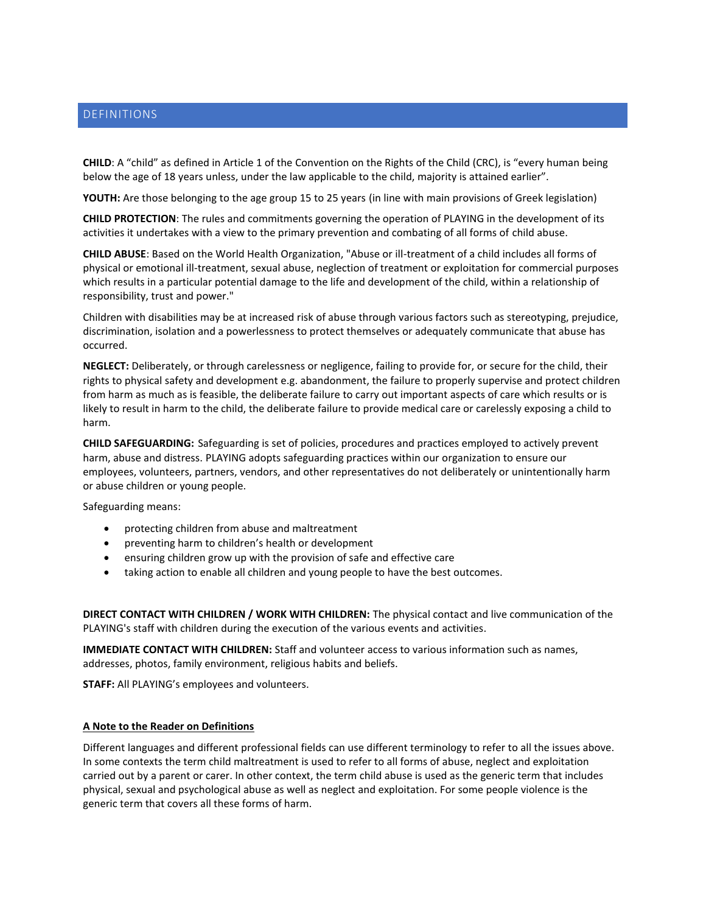# <span id="page-3-0"></span>DEFINITIONS

**CHILD**: A "child" as defined in Article 1 of the Convention on the Rights of the Child (CRC), is "every human being below the age of 18 years unless, under the law applicable to the child, majority is attained earlier".

**YOUTH:** Are those belonging to the age group 15 to 25 years (in line with main provisions of Greek legislation)

**CHILD PROTECTION**: The rules and commitments governing the operation of PLAYING in the development of its activities it undertakes with a view to the primary prevention and combating of all forms of child abuse.

**CHILD ABUSE**: Based on the World Health Organization, "Abuse or ill-treatment of a child includes all forms of physical or emotional ill-treatment, sexual abuse, neglection of treatment or exploitation for commercial purposes which results in a particular potential damage to the life and development of the child, within a relationship of responsibility, trust and power."

Children with disabilities may be at increased risk of abuse through various factors such as stereotyping, prejudice, discrimination, isolation and a powerlessness to protect themselves or adequately communicate that abuse has occurred.

**NEGLECT:** Deliberately, or through carelessness or negligence, failing to provide for, or secure for the child, their rights to physical safety and development e.g. abandonment, the failure to properly supervise and protect children from harm as much as is feasible, the deliberate failure to carry out important aspects of care which results or is likely to result in harm to the child, the deliberate failure to provide medical care or carelessly exposing a child to harm.

**CHILD SAFEGUARDING:** Safeguarding is set of policies, procedures and practices employed to actively prevent harm, abuse and distress. PLAYING adopts safeguarding practices within our organization to ensure our employees, volunteers, partners, vendors, and other representatives do not deliberately or unintentionally harm or abuse children or young people.

Safeguarding means:

- protecting children from abuse and maltreatment
- preventing harm to children's health or development
- ensuring children grow up with the provision of safe and effective care
- taking action to enable all children and young people to have the best outcomes.

**DIRECT CONTACT WITH CHILDREN / WORK WITH CHILDREN:** The physical contact and live communication of the PLAYING's staff with children during the execution of the various events and activities.

**IMMEDIATE CONTACT WITH CHILDREN:** Staff and volunteer access to various information such as names, addresses, photos, family environment, religious habits and beliefs.

**STAFF:** All PLAYING's employees and volunteers.

#### **A Note to the Reader on Definitions**

Different languages and different professional fields can use different terminology to refer to all the issues above. In some contexts the term child maltreatment is used to refer to all forms of abuse, neglect and exploitation carried out by a parent or carer. In other context, the term child abuse is used as the generic term that includes physical, sexual and psychological abuse as well as neglect and exploitation. For some people violence is the generic term that covers all these forms of harm.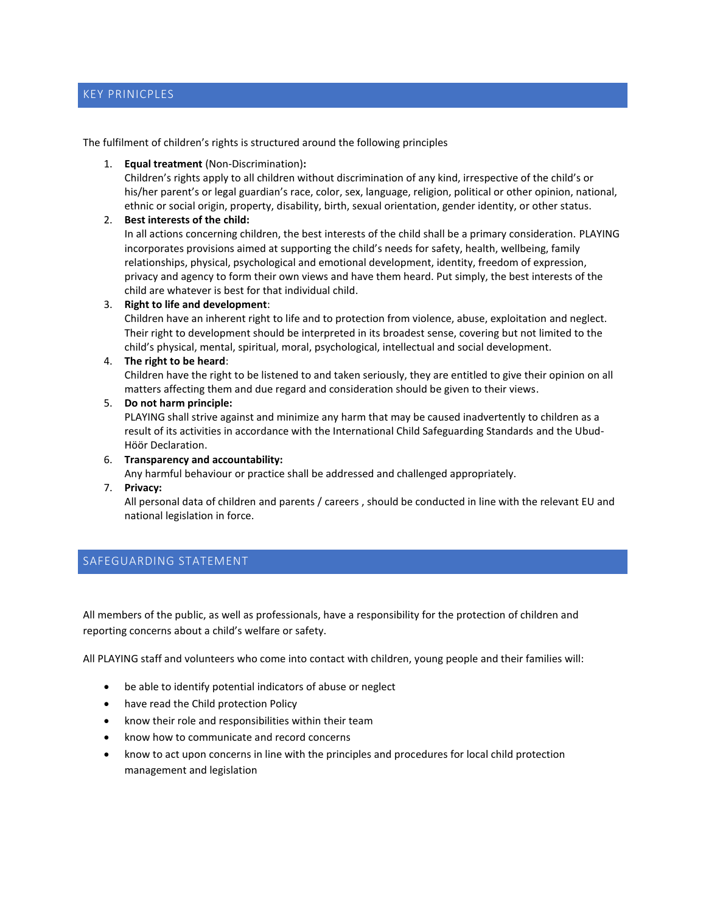# <span id="page-4-0"></span>KEY PRINICPLES

The fulfilment of children's rights is structured around the following principles

1. **Equal treatment** (Non-Discrimination)**:**

Children's rights apply to all children without discrimination of any kind, irrespective of the child's or his/her parent's or legal guardian's race, color, sex, language, religion, political or other opinion, national, ethnic or social origin, property, disability, birth, sexual orientation, gender identity, or other status.

#### 2. **Best interests of the child:**

In all actions concerning children, the best interests of the child shall be a primary consideration. PLAYING incorporates provisions aimed at supporting the child's needs for safety, health, wellbeing, family relationships, physical, psychological and emotional development, identity, freedom of expression, privacy and agency to form their own views and have them heard. Put simply, the best interests of the child are whatever is best for that individual child.

#### 3. **Right to life and development**:

Children have an inherent right to life and to protection from violence, abuse, exploitation and neglect. Their right to development should be interpreted in its broadest sense, covering but not limited to the child's physical, mental, spiritual, moral, psychological, intellectual and social development.

#### 4. **The right to be heard**:

Children have the right to be listened to and taken seriously, they are entitled to give their opinion on all matters affecting them and due regard and consideration should be given to their views.

#### 5. **Do not harm principle:**

PLAYING shall strive against and minimize any harm that may be caused inadvertently to children as a result of its activities in accordance with the International Child Safeguarding Standards and the Ubud-Höör Declaration.

6. **Transparency and accountability:**

Any harmful behaviour or practice shall be addressed and challenged appropriately.

7. **Privacy:**

All personal data of children and parents / careers , should be conducted in line with the relevant EU and national legislation in force.

# <span id="page-4-1"></span>SAFEGUARDING STATEMENT

All members of the public, as well as professionals, have a responsibility for the protection of children and reporting concerns about a child's welfare or safety.

All PLAYING staff and volunteers who come into contact with children, young people and their families will:

- be able to identify potential indicators of abuse or neglect
- have read the Child protection Policy
- know their role and responsibilities within their team
- know how to communicate and record concerns
- know to act upon concerns in line with the principles and procedures for local child protection management and legislation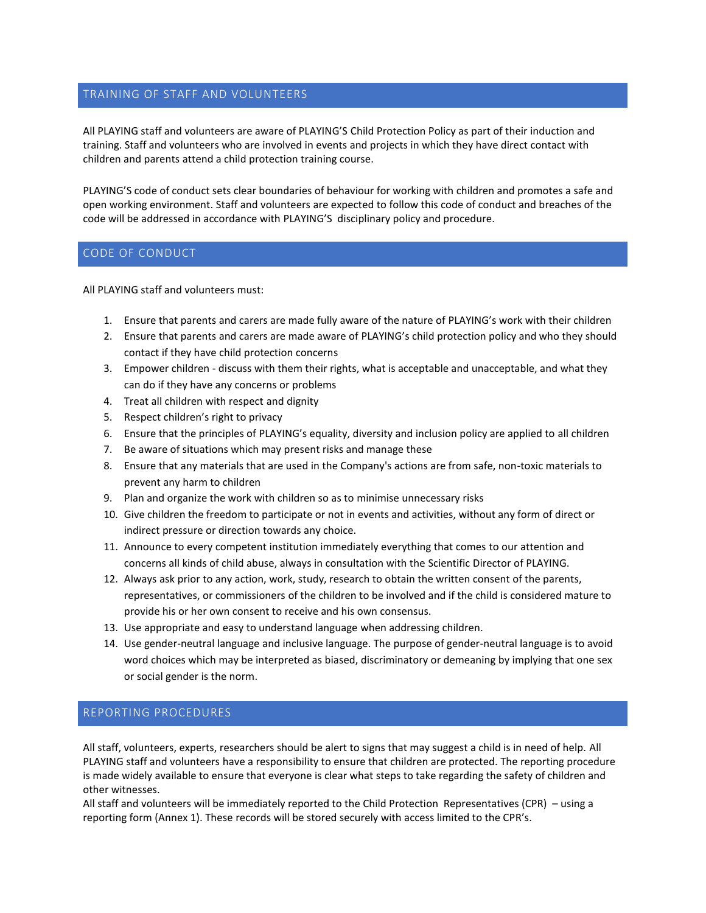### <span id="page-5-0"></span>TRAINING OF STAFF AND VOLUNTEERS

All PLAYING staff and volunteers are aware of PLAYING'S Child Protection Policy as part of their induction and training. Staff and volunteers who are involved in events and projects in which they have direct contact with children and parents attend a child protection training course.

PLAYING'S code of conduct sets clear boundaries of behaviour for working with children and promotes a safe and open working environment. Staff and volunteers are expected to follow this code of conduct and breaches of the code will be addressed in accordance with PLAYING'S disciplinary policy and procedure.

#### <span id="page-5-1"></span>CODE OF CONDUCT

All PLAYING staff and volunteers must:

- 1. Ensure that parents and carers are made fully aware of the nature of PLAYING's work with their children
- 2. Ensure that parents and carers are made aware of PLAYING's child protection policy and who they should contact if they have child protection concerns
- 3. Empower children discuss with them their rights, what is acceptable and unacceptable, and what they can do if they have any concerns or problems
- 4. Treat all children with respect and dignity
- 5. Respect children's right to privacy
- 6. Ensure that the principles of PLAYING's equality, diversity and inclusion policy are applied to all children
- 7. Be aware of situations which may present risks and manage these
- 8. Ensure that any materials that are used in the Company's actions are from safe, non-toxic materials to prevent any harm to children
- 9. Plan and organize the work with children so as to minimise unnecessary risks
- 10. Give children the freedom to participate or not in events and activities, without any form of direct or indirect pressure or direction towards any choice.
- 11. Announce to every competent institution immediately everything that comes to our attention and concerns all kinds of child abuse, always in consultation with the Scientific Director of PLAYING.
- 12. Always ask prior to any action, work, study, research to obtain the written consent of the parents, representatives, or commissioners of the children to be involved and if the child is considered mature to provide his or her own consent to receive and his own consensus.
- 13. Use appropriate and easy to understand language when addressing children.
- 14. Use gender-neutral language and inclusive language. The purpose of gender-neutral language is to avoid word choices which may be interpreted as biased, discriminatory or demeaning by implying that one sex or social gender is the norm.

#### <span id="page-5-2"></span>REPORTING PROCEDURES

All staff, volunteers, experts, researchers should be alert to signs that may suggest a child is in need of help. All PLAYING staff and volunteers have a responsibility to ensure that children are protected. The reporting procedure is made widely available to ensure that everyone is clear what steps to take regarding the safety of children and other witnesses.

All staff and volunteers will be immediately reported to the Child Protection Representatives (CPR) – using a reporting form (Annex 1). These records will be stored securely with access limited to the CPR's.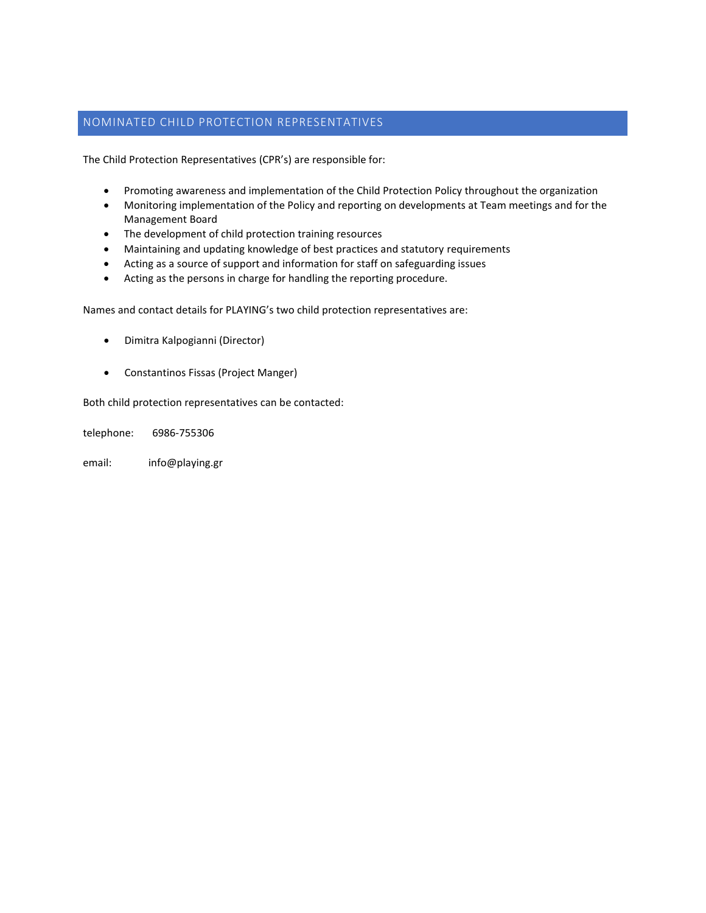### <span id="page-6-0"></span>NOMINATED CHILD PROTECTION REPRESENTATIVES

The Child Protection Representatives (CPR's) are responsible for:

- Promoting awareness and implementation of the Child Protection Policy throughout the organization
- Monitoring implementation of the Policy and reporting on developments at Team meetings and for the Management Board
- The development of child protection training resources
- Maintaining and updating knowledge of best practices and statutory requirements
- Acting as a source of support and information for staff on safeguarding issues
- Acting as the persons in charge for handling the reporting procedure.

Names and contact details for PLAYING's two child protection representatives are:

- Dimitra Kalpogianni (Director)
- Constantinos Fissas (Project Manger)

Both child protection representatives can be contacted:

telephone: 6986-755306

email: [info@playing.gr](mailto:info@playing.gr)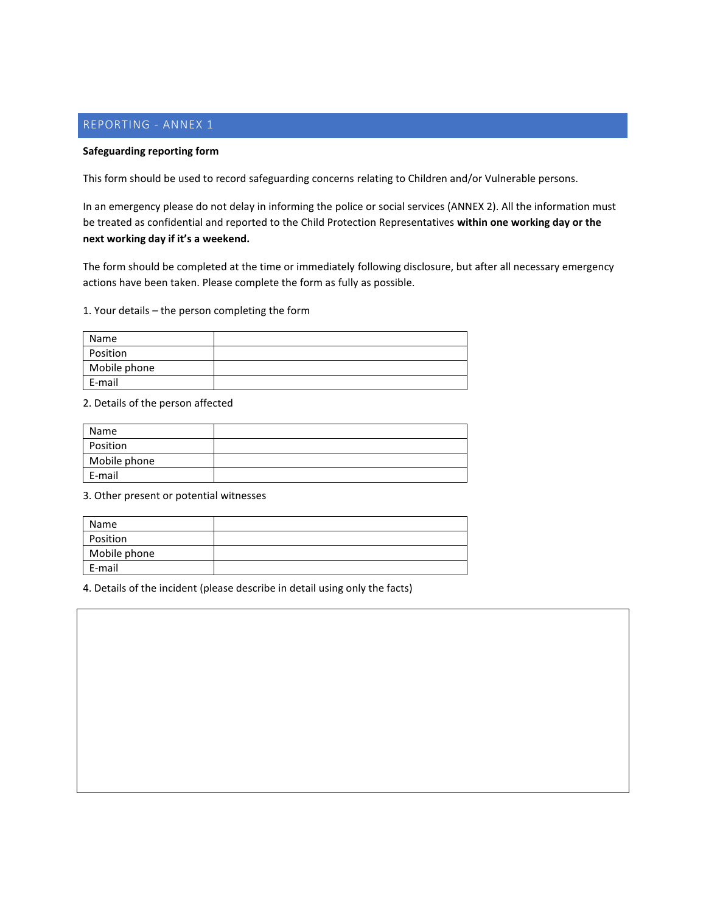# <span id="page-7-0"></span>REPORTING - ANNEX 1

#### **Safeguarding reporting form**

This form should be used to record safeguarding concerns relating to Children and/or Vulnerable persons.

In an emergency please do not delay in informing the police or social services (ANNEX 2). All the information must be treated as confidential and reported to the Child Protection Representatives **within one working day or the next working day if it's a weekend.**

The form should be completed at the time or immediately following disclosure, but after all necessary emergency actions have been taken. Please complete the form as fully as possible.

1. Your details – the person completing the form

| Name         |  |
|--------------|--|
| Position     |  |
| Mobile phone |  |
| E-mail       |  |

2. Details of the person affected

| Name         |  |
|--------------|--|
| Position     |  |
| Mobile phone |  |
| E-mail       |  |

3. Other present or potential witnesses

| Name         |  |
|--------------|--|
| Position     |  |
| Mobile phone |  |
| E-mail       |  |

4. Details of the incident (please describe in detail using only the facts)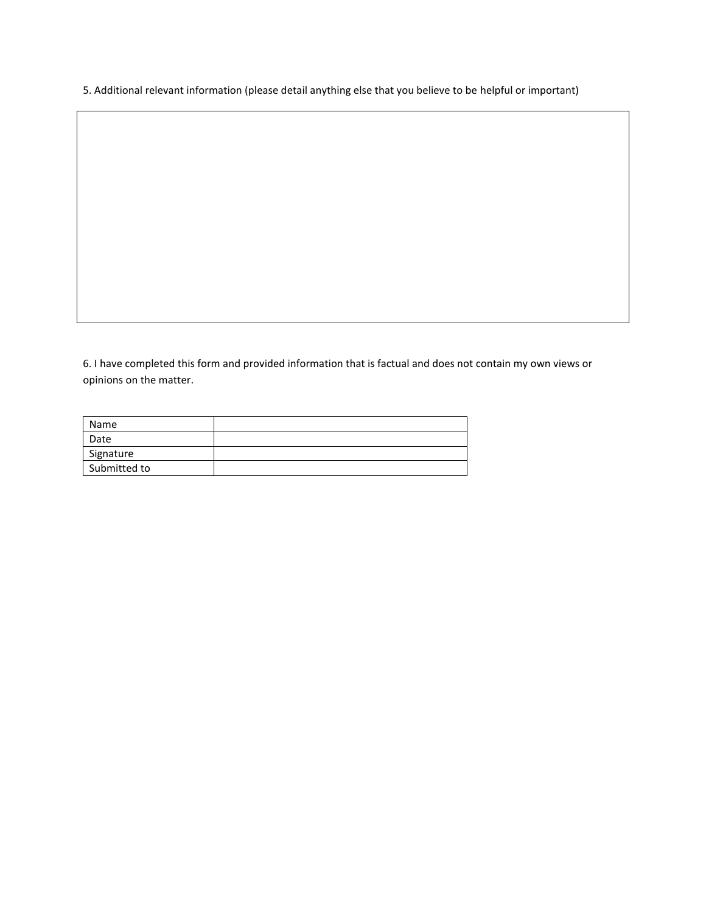5. Additional relevant information (please detail anything else that you believe to be helpful or important)

6. I have completed this form and provided information that is factual and does not contain my own views or opinions on the matter.

| Name         |  |
|--------------|--|
| Date         |  |
| Signature    |  |
| Submitted to |  |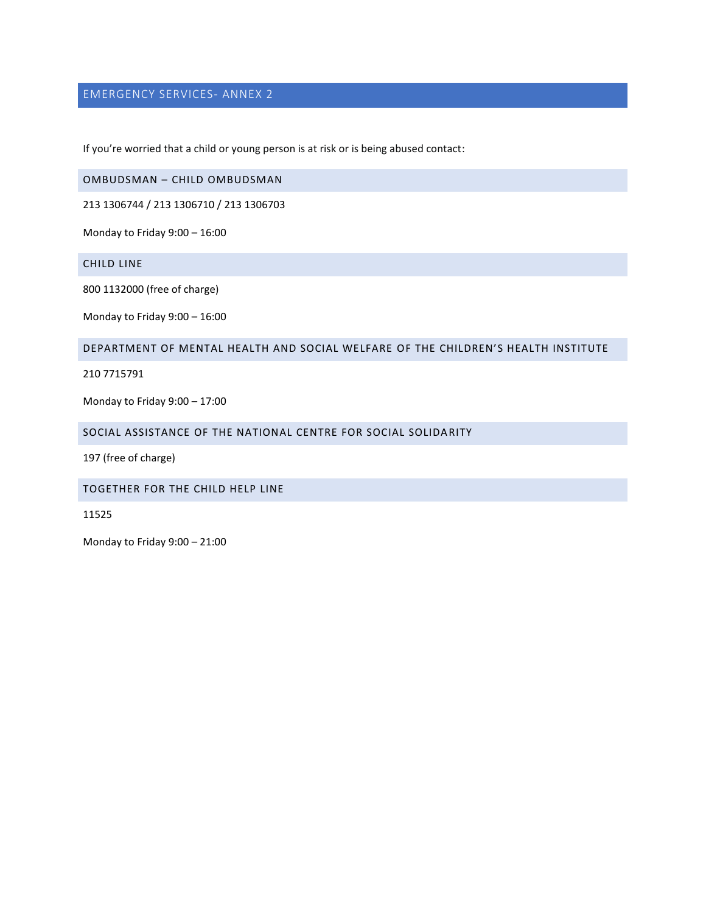# <span id="page-9-0"></span>EMERGENCY SERVICES- ANNEX 2

If you're worried that a child or young person is at risk or is being abused contact:

<span id="page-9-1"></span>OMBUDSMAN – CHILD OMBUDSMAN

213 1306744 / 213 1306710 / 213 1306703

Monday to Friday 9:00 – 16:00

<span id="page-9-2"></span>CHILD LINE

800 1132000 (free of charge)

Monday to Friday 9:00 – 16:00

#### <span id="page-9-3"></span>DEPARTMENT OF MENTAL HEALTH AND SOCIAL WELFARE OF THE CHILDREN'S HEALTH INSTITUTE

210 7715791

Monday to Friday 9:00 – 17:00

<span id="page-9-4"></span>SOCIAL ASSISTANCE OF THE NATIONAL CENTRE FOR SOCIAL SOLIDARITY

197 (free of charge)

<span id="page-9-5"></span>TOGETHER FOR THE CHILD HELP LINE

11525

Monday to Friday 9:00 – 21:00